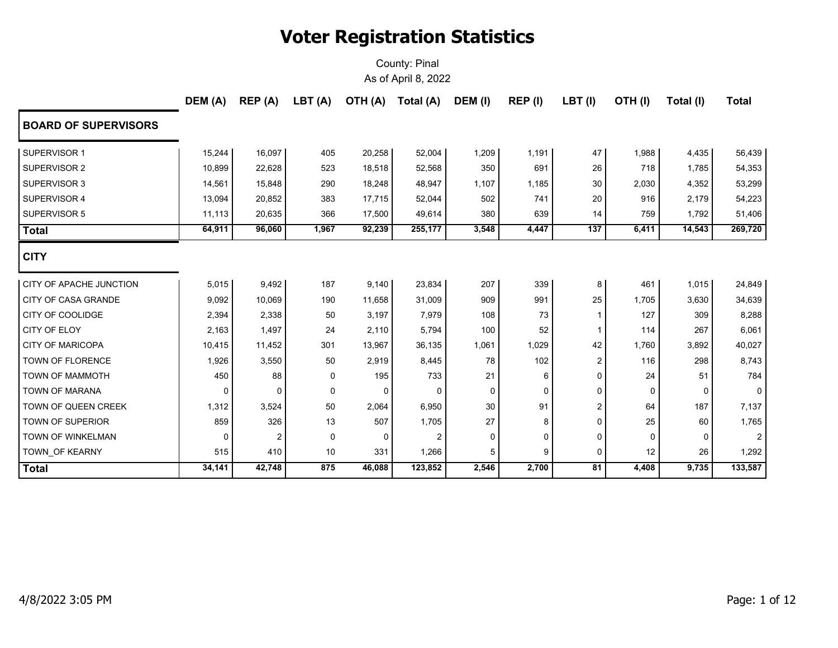|                                | DEM (A) | REP(A) | LBT(A) | OTH (A) | Total (A) | DEM (I) | REP (I)  | $LBT$ (I)       | OTH(I)      | Total (I) | <b>Total</b>   |
|--------------------------------|---------|--------|--------|---------|-----------|---------|----------|-----------------|-------------|-----------|----------------|
| <b>BOARD OF SUPERVISORS</b>    |         |        |        |         |           |         |          |                 |             |           |                |
| SUPERVISOR 1                   | 15,244  | 16,097 | 405    | 20,258  | 52,004    | 1,209   | 1,191    | 47              | 1,988       | 4,435     | 56,439         |
| SUPERVISOR 2                   | 10,899  | 22,628 | 523    | 18,518  | 52,568    | 350     | 691      | 26              | 718         | 1,785     | 54,353         |
| SUPERVISOR 3                   | 14,561  | 15,848 | 290    | 18,248  | 48,947    | 1,107   | 1,185    | 30              | 2,030       | 4,352     | 53,299         |
| SUPERVISOR 4                   | 13,094  | 20,852 | 383    | 17,715  | 52,044    | 502     | 741      | 20              | 916         | 2,179     | 54,223         |
| <b>SUPERVISOR 5</b>            | 11,113  | 20,635 | 366    | 17,500  | 49,614    | 380     | 639      | 14              | 759         | 1,792     | 51,406         |
| <b>Total</b>                   | 64,911  | 96,060 | 1,967  | 92,239  | 255,177   | 3,548   | 4,447    | 137             | 6,411       | 14,543    | 269,720        |
| <b>CITY</b>                    |         |        |        |         |           |         |          |                 |             |           |                |
| <b>CITY OF APACHE JUNCTION</b> | 5,015   | 9,492  | 187    | 9,140   | 23,834    | 207     | 339      | 8               | 461         | 1,015     | 24,849         |
| <b>CITY OF CASA GRANDE</b>     | 9,092   | 10,069 | 190    | 11,658  | 31,009    | 909     | 991      | 25              | 1,705       | 3,630     | 34,639         |
| <b>CITY OF COOLIDGE</b>        | 2,394   | 2,338  | 50     | 3,197   | 7,979     | 108     | 73       | 1               | 127         | 309       | 8,288          |
| <b>CITY OF ELOY</b>            | 2,163   | 1,497  | 24     | 2,110   | 5,794     | 100     | 52       | 1               | 114         | 267       | 6,061          |
| <b>CITY OF MARICOPA</b>        | 10,415  | 11,452 | 301    | 13,967  | 36,135    | 1,061   | 1,029    | 42              | 1,760       | 3,892     | 40,027         |
| <b>TOWN OF FLORENCE</b>        | 1,926   | 3,550  | 50     | 2,919   | 8,445     | 78      | 102      | 2               | 116         | 298       | 8,743          |
| TOWN OF MAMMOTH                | 450     | 88     | 0      | 195     | 733       | 21      | 6        | 0               | 24          | 51        | 784            |
| TOWN OF MARANA                 | 0       | 0      | 0      | 0       | 0         | 0       | $\Omega$ | 0               | 0           | $\Omega$  | 0              |
| <b>TOWN OF QUEEN CREEK</b>     | 1,312   | 3,524  | 50     | 2,064   | 6,950     | 30      | 91       | $\overline{2}$  | 64          | 187       | 7,137          |
| TOWN OF SUPERIOR               | 859     | 326    | 13     | 507     | 1,705     | 27      | 8        | 0               | 25          | 60        | 1,765          |
| TOWN OF WINKELMAN              | 0       | 2      | 0      | 0       | 2         | 0       | 0        | 0               | $\mathbf 0$ | 0         | $\overline{2}$ |
| TOWN_OF KEARNY                 | 515     | 410    | 10     | 331     | 1,266     | 5       | 9        | 0               | 12          | 26        | 1,292          |
| <b>Total</b>                   | 34,141  | 42,748 | 875    | 46,088  | 123,852   | 2,546   | 2,700    | $\overline{81}$ | 4,408       | 9,735     | 133,587        |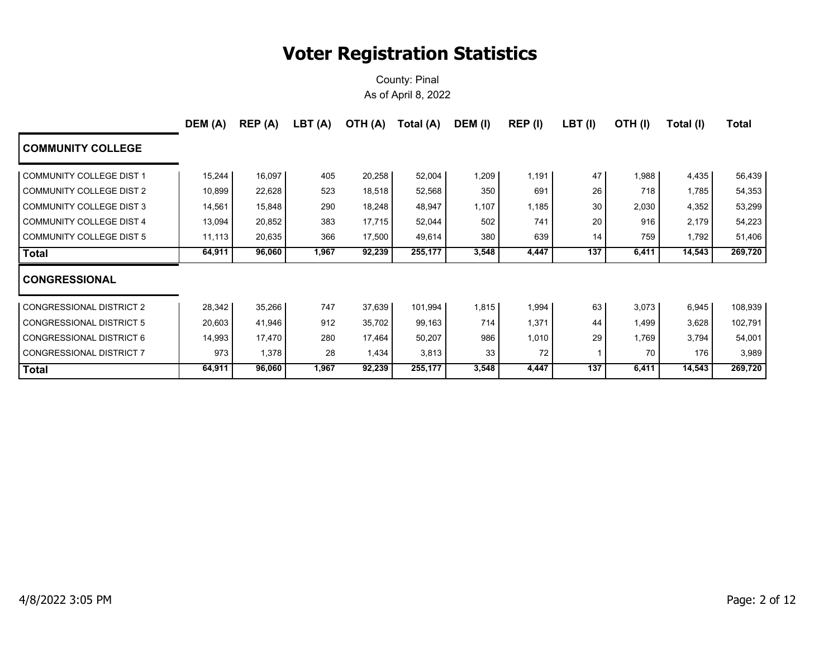|                                 | DEM (A) | REP(A) | LBT (A) | OTH (A) | Total (A) | DEM (I) | REP (I) | $LBT$ (I) | OTH(I) | Total (I) | Total   |
|---------------------------------|---------|--------|---------|---------|-----------|---------|---------|-----------|--------|-----------|---------|
| <b>COMMUNITY COLLEGE</b>        |         |        |         |         |           |         |         |           |        |           |         |
| COMMUNITY COLLEGE DIST 1        | 15,244  | 16,097 | 405     | 20,258  | 52,004    | 1,209   | 1,191   | 47        | 1,988  | 4,435     | 56,439  |
| COMMUNITY COLLEGE DIST 2        | 10,899  | 22,628 | 523     | 18,518  | 52,568    | 350     | 691     | 26        | 718    | 1,785     | 54,353  |
| COMMUNITY COLLEGE DIST 3        | 14,561  | 15,848 | 290     | 18,248  | 48,947    | 1,107   | 1,185   | 30        | 2,030  | 4,352     | 53,299  |
| COMMUNITY COLLEGE DIST 4        | 13,094  | 20,852 | 383     | 17,715  | 52,044    | 502     | 741     | 20        | 916    | 2,179     | 54,223  |
| COMMUNITY COLLEGE DIST 5        | 11,113  | 20,635 | 366     | 17,500  | 49,614    | 380     | 639     | 14        | 759    | 1,792     | 51,406  |
| <b>Total</b>                    | 64,911  | 96,060 | 1,967   | 92,239  | 255,177   | 3,548   | 4,447   | 137       | 6,411  | 14,543    | 269,720 |
| <b>CONGRESSIONAL</b>            |         |        |         |         |           |         |         |           |        |           |         |
| <b>CONGRESSIONAL DISTRICT 2</b> | 28,342  | 35,266 | 747     | 37,639  | 101,994   | 1,815   | 1,994   | 63        | 3,073  | 6,945     | 108,939 |
| CONGRESSIONAL DISTRICT 5        | 20,603  | 41,946 | 912     | 35,702  | 99,163    | 714     | 1,371   | 44        | 1,499  | 3,628     | 102,791 |
| CONGRESSIONAL DISTRICT 6        | 14,993  | 17,470 | 280     | 17,464  | 50,207    | 986     | 1,010   | 29        | 1,769  | 3,794     | 54,001  |
| CONGRESSIONAL DISTRICT 7        | 973     | 1,378  | 28      | 1,434   | 3,813     | 33      | 72      |           | 70     | 176       | 3,989   |
| <b>Total</b>                    | 64,911  | 96,060 | 1,967   | 92,239  | 255,177   | 3,548   | 4,447   | 137       | 6,411  | 14,543    | 269,720 |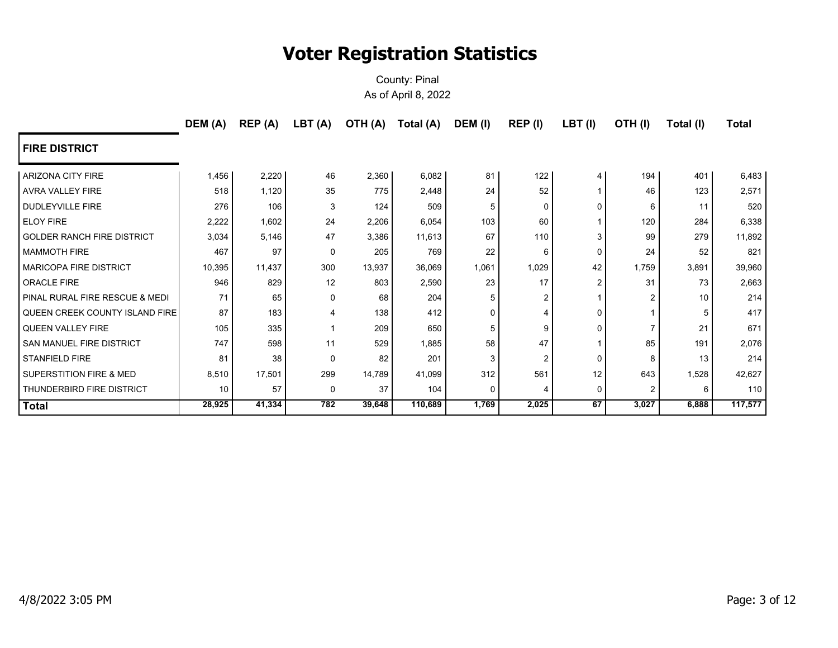|                                   | DEM (A) | REP (A) | LBT(A)   |        | OTH (A) Total (A) | DEM (I)  | REP (I)        | $LBT$ (I)      | OTH(I)         | Total (I) | <b>Total</b> |
|-----------------------------------|---------|---------|----------|--------|-------------------|----------|----------------|----------------|----------------|-----------|--------------|
| <b>FIRE DISTRICT</b>              |         |         |          |        |                   |          |                |                |                |           |              |
| <b>ARIZONA CITY FIRE</b>          | 1,456   | 2,220   | 46       | 2,360  | 6,082             | 81       | 122            | 4              | 194            | 401       | 6,483        |
| AVRA VALLEY FIRE                  | 518     | 1,120   | 35       | 775    | 2,448             | 24       | 52             |                | 46             | 123       | 2,571        |
| DUDLEYVILLE FIRE                  | 276     | 106     | 3        | 124    | 509               |          | 0              | 0              | 6              | 11        | 520          |
| <b>ELOY FIRE</b>                  | 2,222   | 1,602   | 24       | 2,206  | 6,054             | 103      | 60             |                | 120            | 284       | 6,338        |
| <b>GOLDER RANCH FIRE DISTRICT</b> | 3,034   | 5,146   | 47       | 3,386  | 11,613            | 67       | 110            | 3              | 99             | 279       | 11,892       |
| <b>MAMMOTH FIRE</b>               | 467     | 97      | $\Omega$ | 205    | 769               | 22       | 6              | $\Omega$       | 24             | 52        | 821          |
| <b>MARICOPA FIRE DISTRICT</b>     | 10,395  | 11,437  | 300      | 13,937 | 36,069            | 1,061    | 1,029          | 42             | 1,759          | 3,891     | 39,960       |
| ORACLE FIRE                       | 946     | 829     | 12       | 803    | 2,590             | 23       | 17             | $\overline{2}$ | 31             | 73        | 2,663        |
| PINAL RURAL FIRE RESCUE & MEDI    | 71      | 65      | $\Omega$ | 68     | 204               |          | 2              |                | $\mathcal{P}$  | 10        | 214          |
| QUEEN CREEK COUNTY ISLAND FIRE    | 87      | 183     | 4        | 138    | 412               | ∩        | Δ              | $\mathbf 0$    |                |           | 417          |
| <b>QUEEN VALLEY FIRE</b>          | 105     | 335     |          | 209    | 650               |          | 9              | 0              | $\overline{7}$ | 21        | 671          |
| SAN MANUEL FIRE DISTRICT          | 747     | 598     | 11       | 529    | 1,885             | 58       | 47             |                | 85             | 191       | 2,076        |
| <b>STANFIELD FIRE</b>             | 81      | 38      | $\Omega$ | 82     | 201               | 3        | $\overline{2}$ | 0              | 8              | 13        | 214          |
| SUPERSTITION FIRE & MED           | 8,510   | 17,501  | 299      | 14,789 | 41,099            | 312      | 561            | 12             | 643            | 1,528     | 42,627       |
| THUNDERBIRD FIRE DISTRICT         | 10      | 57      | $\Omega$ | 37     | 104               | $\Omega$ | 4              | 0              | 2              | 6         | 110          |
| <b>Total</b>                      | 28,925  | 41,334  | 782      | 39,648 | 110,689           | 1,769    | 2,025          | 67             | 3,027          | 6,888     | 117,577      |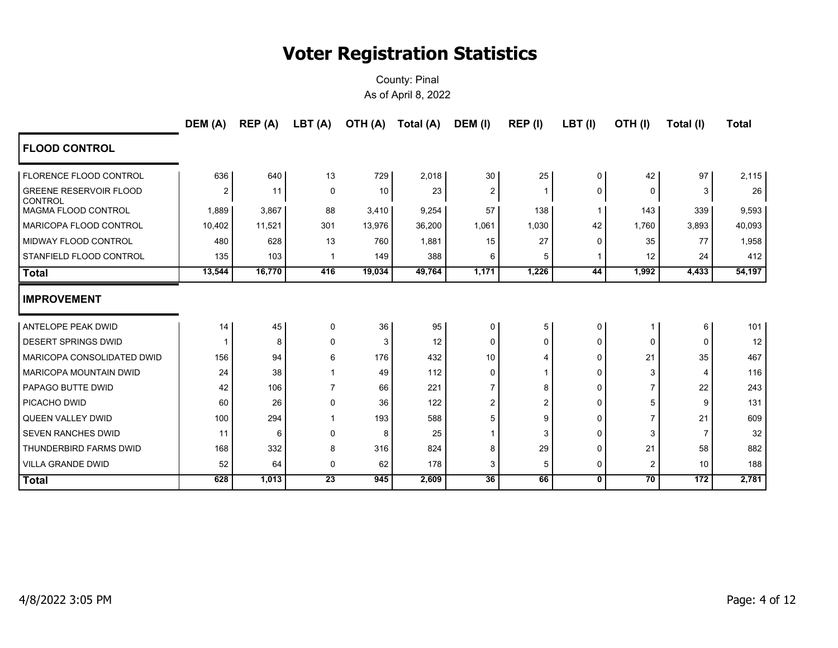|                                                 | DEM (A) | REP (A) | LBT (A)         | OTH (A) | Total (A) | DEM (I)         | REP (I)        | LBT(I)       | OTH(I)          | Total (I) | <b>Total</b> |
|-------------------------------------------------|---------|---------|-----------------|---------|-----------|-----------------|----------------|--------------|-----------------|-----------|--------------|
| <b>FLOOD CONTROL</b>                            |         |         |                 |         |           |                 |                |              |                 |           |              |
| <b>FLORENCE FLOOD CONTROL</b>                   | 636     | 640     | 13              | 729     | 2,018     | 30 <sup>°</sup> | 25             | 0            | 42              | 97        | 2,115        |
| <b>GREENE RESERVOIR FLOOD</b><br><b>CONTROL</b> | 2       | 11      | $\mathbf 0$     | 10      | 23        | $\overline{2}$  | 1              | 0            | 0               | 3         | 26           |
| <b>MAGMA FLOOD CONTROL</b>                      | 1,889   | 3,867   | 88              | 3,410   | 9,254     | 57              | 138            |              | 143             | 339       | 9,593        |
| MARICOPA FLOOD CONTROL                          | 10,402  | 11,521  | 301             | 13,976  | 36,200    | 1,061           | 1,030          | 42           | 1,760           | 3,893     | 40,093       |
| <b>MIDWAY FLOOD CONTROL</b>                     | 480     | 628     | 13              | 760     | 1,881     | 15              | 27             | U            | 35              | 77        | 1,958        |
| STANFIELD FLOOD CONTROL                         | 135     | 103     | -1              | 149     | 388       | 6               | 5              |              | 12              | 24        | 412          |
| <b>Total</b>                                    | 13,544  | 16,770  | 416             | 19,034  | 49,764    | 1,171           | 1,226          | 44           | 1,992           | 4,433     | 54,197       |
| <b>IMPROVEMENT</b>                              |         |         |                 |         |           |                 |                |              |                 |           |              |
| ANTELOPE PEAK DWID                              | 14      | 45      | 0               | 36      | 95        | $\mathbf 0$     | 5              | $\Omega$     |                 | 6         | 101          |
| <b>DESERT SPRINGS DWID</b>                      |         | 8       | $\mathbf 0$     | 3       | 12        | $\mathbf 0$     | 0              | $\Omega$     | 0               | $\Omega$  | 12           |
| MARICOPA CONSOLIDATED DWID                      | 156     | 94      | 6               | 176     | 432       | 10              | 4              | $\Omega$     | 21              | 35        | 467          |
| <b>MARICOPA MOUNTAIN DWID</b>                   | 24      | 38      |                 | 49      | 112       | $\Omega$        | 1              | $\Omega$     | 3               | 4         | 116          |
| PAPAGO BUTTE DWID                               | 42      | 106     | $\overline{7}$  | 66      | 221       | $\overline{7}$  | 8              | $\Omega$     |                 | 22        | 243          |
| PICACHO DWID                                    | 60      | 26      | 0               | 36      | 122       | $\overline{2}$  | $\overline{2}$ | $\Omega$     | 5               | 9         | 131          |
| QUEEN VALLEY DWID                               | 100     | 294     |                 | 193     | 588       | 5               | 9              | $\Omega$     |                 | 21        | 609          |
| <b>SEVEN RANCHES DWID</b>                       | 11      | 6       | $\mathbf 0$     | 8       | 25        |                 | 3              | $\Omega$     | 3               | 7         | 32           |
| THUNDERBIRD FARMS DWID                          | 168     | 332     | 8               | 316     | 824       | 8               | 29             | $\Omega$     | 21              | 58        | 882          |
| <b>VILLA GRANDE DWID</b>                        | 52      | 64      | 0               | 62      | 178       | 3               | 5              | $\mathbf 0$  | $\overline{2}$  | 10        | 188          |
| <b>Total</b>                                    | 628     | 1,013   | $\overline{23}$ | 945     | 2,609     | $\overline{36}$ | 66             | $\mathbf{0}$ | $\overline{70}$ | 172       | 2,781        |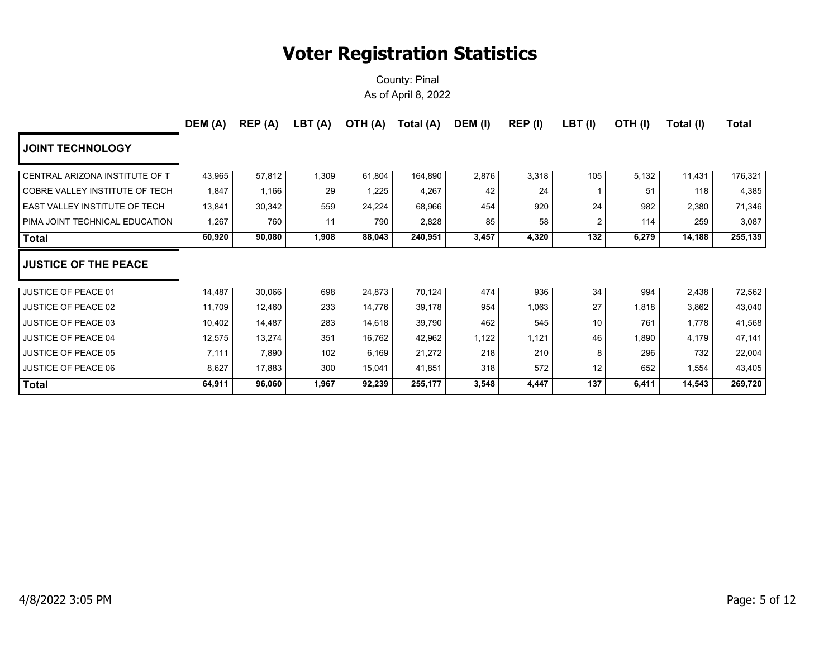|                                       | DEM (A) | REP(A) | LBT(A) | OTH (A) | Total (A) | DEM (I) | REP (I) | $LBT$ (I) | OTH(I) | Total (I) | Total   |
|---------------------------------------|---------|--------|--------|---------|-----------|---------|---------|-----------|--------|-----------|---------|
| <b>JOINT TECHNOLOGY</b>               |         |        |        |         |           |         |         |           |        |           |         |
| CENTRAL ARIZONA INSTITUTE OF T        | 43,965  | 57,812 | 1,309  | 61,804  | 164,890   | 2,876   | 3,318   | 105       | 5,132  | 11,431    | 176,321 |
| <b>COBRE VALLEY INSTITUTE OF TECH</b> | 1,847   | 1,166  | 29     | 1,225   | 4,267     | 42      | 24      |           | 51     | 118       | 4,385   |
| EAST VALLEY INSTITUTE OF TECH         | 13,841  | 30,342 | 559    | 24,224  | 68,966    | 454     | 920     | 24        | 982    | 2,380     | 71,346  |
| PIMA JOINT TECHNICAL EDUCATION        | 1,267   | 760    | 11     | 790     | 2,828     | 85      | 58      | 2         | 114    | 259       | 3,087   |
| <b>Total</b>                          | 60,920  | 90,080 | 1,908  | 88,043  | 240,951   | 3,457   | 4,320   | 132       | 6,279  | 14,188    | 255,139 |
| <b>JUSTICE OF THE PEACE</b>           |         |        |        |         |           |         |         |           |        |           |         |
| <b>JUSTICE OF PEACE 01</b>            | 14,487  | 30,066 | 698    | 24,873  | 70,124    | 474     | 936     | 34        | 994    | 2,438     | 72,562  |
| <b>JUSTICE OF PEACE 02</b>            | 11,709  | 12,460 | 233    | 14,776  | 39,178    | 954     | 1,063   | 27        | 1,818  | 3,862     | 43,040  |
| <b>JUSTICE OF PEACE 03</b>            | 10,402  | 14,487 | 283    | 14,618  | 39,790    | 462     | 545     | 10        | 761    | 1,778     | 41,568  |
| <b>JUSTICE OF PEACE 04</b>            | 12,575  | 13,274 | 351    | 16,762  | 42,962    | 1,122   | 1,121   | 46        | 1,890  | 4,179     | 47,141  |
| <b>JUSTICE OF PEACE 05</b>            | 7,111   | 7,890  | 102    | 6,169   | 21,272    | 218     | 210     | 8         | 296    | 732       | 22,004  |
| <b>JUSTICE OF PEACE 06</b>            | 8,627   | 17,883 | 300    | 15,041  | 41,851    | 318     | 572     | 12        | 652    | 1,554     | 43,405  |
| <b>Total</b>                          | 64,911  | 96,060 | 1,967  | 92,239  | 255,177   | 3,548   | 4,447   | 137       | 6,411  | 14,543    | 269,720 |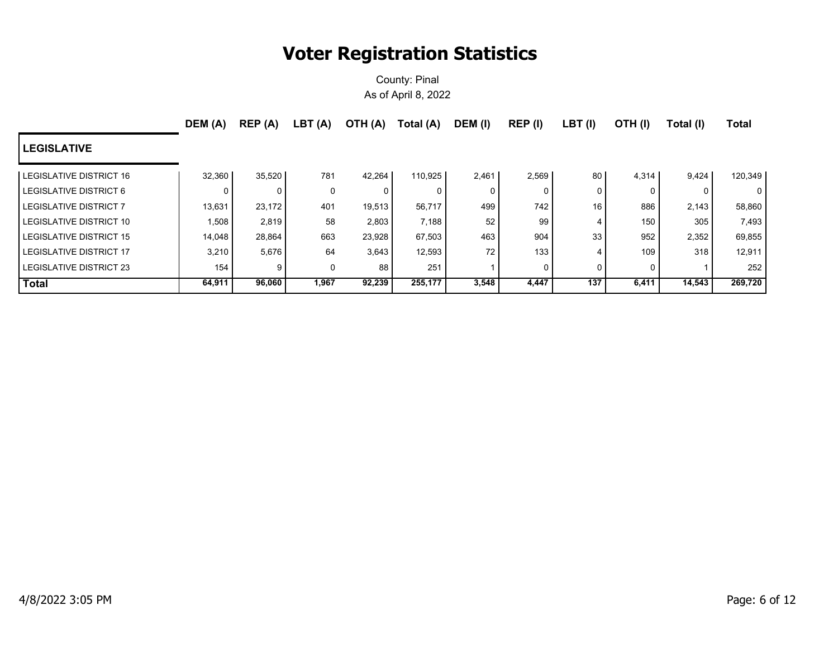|                         | DEM (A) | REP (A) | LBT (A) | (A) OTH | Total (A) | DEM (I) | REP (I)  | $LBT$ (I) | OTH(I) | Total (I) | <b>Total</b> |
|-------------------------|---------|---------|---------|---------|-----------|---------|----------|-----------|--------|-----------|--------------|
| <b>LEGISLATIVE</b>      |         |         |         |         |           |         |          |           |        |           |              |
| LEGISLATIVE DISTRICT 16 | 32,360  | 35,520  | 781     | 42.264  | 110,925   | 2,461   | 2,569    | 80        | 4,314  | 9,424     | 120,349      |
| LEGISLATIVE DISTRICT 6  | 0       |         | 0       | 0       |           | 0       | $\Omega$ | 0         |        | $\Omega$  | 0 I          |
| LEGISLATIVE DISTRICT 7  | 13,631  | 23,172  | 401     | 19,513  | 56,717    | 499     | 742      | 16        | 886    | 2,143     | 58,860       |
| LEGISLATIVE DISTRICT 10 | 1,508   | 2,819   | 58      | 2,803   | 7,188     | 52      | 99       | 4         | 150    | 305       | 7,493        |
| LEGISLATIVE DISTRICT 15 | 14,048  | 28,864  | 663     | 23,928  | 67,503    | 463     | 904      | 33        | 952    | 2,352     | 69,855       |
| LEGISLATIVE DISTRICT 17 | 3,210   | 5,676   | 64      | 3,643   | 12,593    | 72      | 133      | 4         | 109    | 318       | 12,911       |
| LEGISLATIVE DISTRICT 23 | 154     | 9       | 0       | 88      | 251       |         | 0        | 0         |        |           | 252          |
| <b>Total</b>            | 64,911  | 96,060  | 1,967   | 92,239  | 255,177   | 3,548   | 4,447    | 137       | 6,411  | 14,543    | 269,720      |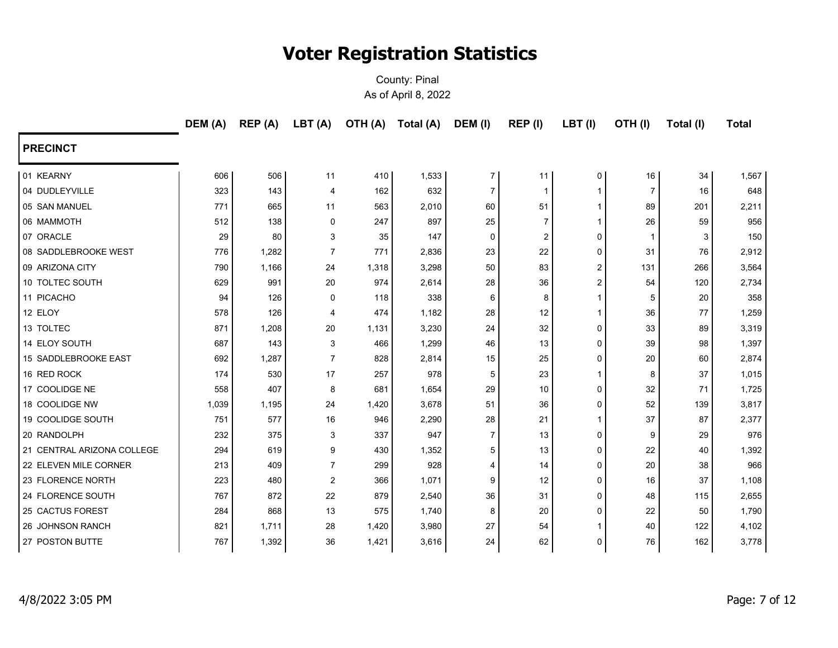|                            | DEM (A) | REP (A) | LBT(A)         | OTH (A) | Total (A) | DEM (I)        | REP (I)        | LBT(I)         | OTH(I) | Total (I) | <b>Total</b> |
|----------------------------|---------|---------|----------------|---------|-----------|----------------|----------------|----------------|--------|-----------|--------------|
| <b>PRECINCT</b>            |         |         |                |         |           |                |                |                |        |           |              |
| 01 KEARNY                  | 606     | 506     | 11             | 410     | 1,533     | 7              | 11             | 0              | 16     | 34        | 1,567        |
| 04 DUDLEYVILLE             | 323     | 143     | $\overline{4}$ | 162     | 632       | $\overline{7}$ | $\mathbf 1$    | $\mathbf{1}$   | 7      | 16        | 648          |
| 05 SAN MANUEL              | 771     | 665     | 11             | 563     | 2,010     | 60             | 51             | $\overline{1}$ | 89     | 201       | 2,211        |
| 06 MAMMOTH                 | 512     | 138     | $\mathbf 0$    | 247     | 897       | 25             | $\overline{7}$ | $\mathbf{1}$   | 26     | 59        | 956          |
| 07 ORACLE                  | 29      | 80      | 3              | 35      | 147       | 0              | 2              | $\Omega$       | -1     | 3         | 150          |
| 08 SADDLEBROOKE WEST       | 776     | 1,282   | $\overline{7}$ | 771     | 2,836     | 23             | 22             | $\Omega$       | 31     | 76        | 2,912        |
| 09 ARIZONA CITY            | 790     | 1,166   | 24             | 1,318   | 3,298     | 50             | 83             | 2              | 131    | 266       | 3,564        |
| 10 TOLTEC SOUTH            | 629     | 991     | 20             | 974     | 2,614     | 28             | 36             | $\overline{2}$ | 54     | 120       | 2,734        |
| 11 PICACHO                 | 94      | 126     | $\mathbf 0$    | 118     | 338       | 6              | 8              | 1              | 5      | 20        | 358          |
| 12 ELOY                    | 578     | 126     | 4              | 474     | 1,182     | 28             | 12             | 1              | 36     | 77        | 1,259        |
| 13 TOLTEC                  | 871     | 1,208   | 20             | 1,131   | 3,230     | 24             | 32             | $\Omega$       | 33     | 89        | 3,319        |
| 14 ELOY SOUTH              | 687     | 143     | 3              | 466     | 1,299     | 46             | 13             | 0              | 39     | 98        | 1,397        |
| 15 SADDLEBROOKE EAST       | 692     | 1,287   | $\overline{7}$ | 828     | 2,814     | 15             | 25             | 0              | 20     | 60        | 2,874        |
| 16 RED ROCK                | 174     | 530     | 17             | 257     | 978       | 5              | 23             | 1              | 8      | 37        | 1,015        |
| 17 COOLIDGE NE             | 558     | 407     | 8              | 681     | 1,654     | 29             | 10             | 0              | 32     | 71        | 1,725        |
| 18 COOLIDGE NW             | 1,039   | 1,195   | 24             | 1,420   | 3,678     | 51             | 36             | 0              | 52     | 139       | 3,817        |
| 19 COOLIDGE SOUTH          | 751     | 577     | 16             | 946     | 2,290     | 28             | 21             | $\mathbf 1$    | 37     | 87        | 2,377        |
| 20 RANDOLPH                | 232     | 375     | 3              | 337     | 947       | $\overline{7}$ | 13             | 0              | 9      | 29        | 976          |
| 21 CENTRAL ARIZONA COLLEGE | 294     | 619     | 9              | 430     | 1,352     | 5              | 13             | 0              | 22     | 40        | 1,392        |
| 22 ELEVEN MILE CORNER      | 213     | 409     | $\overline{7}$ | 299     | 928       | $\overline{4}$ | 14             | 0              | 20     | 38        | 966          |
| 23 FLORENCE NORTH          | 223     | 480     | $\overline{2}$ | 366     | 1,071     | 9              | 12             | 0              | 16     | 37        | 1,108        |
| 24 FLORENCE SOUTH          | 767     | 872     | 22             | 879     | 2,540     | 36             | 31             | 0              | 48     | 115       | 2,655        |
| 25 CACTUS FOREST           | 284     | 868     | 13             | 575     | 1,740     | 8              | 20             | 0              | 22     | 50        | 1,790        |
| 26 JOHNSON RANCH           | 821     | 1,711   | 28             | 1,420   | 3,980     | 27             | 54             | -1             | 40     | 122       | 4,102        |
| 27 POSTON BUTTE            | 767     | 1,392   | 36             | 1,421   | 3,616     | 24             | 62             | 0              | 76     | 162       | 3,778        |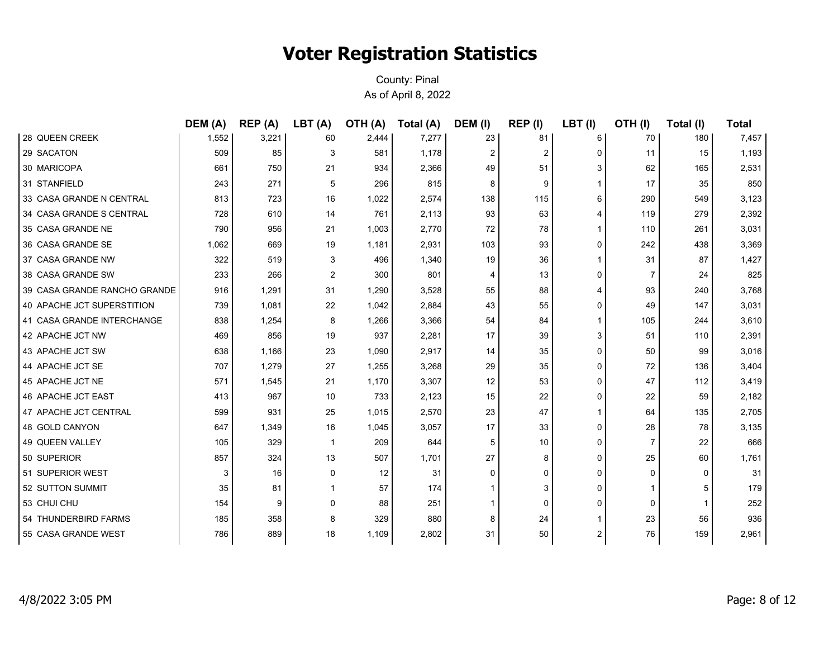|                              | DEM (A) | REP(A) | LBT(A)       | <b>OTH (A)</b> | Total (A) | DEM (I)  | REP (I)        | $LBT$ (I) | OTH(I)         | Total (I) | <b>Total</b> |
|------------------------------|---------|--------|--------------|----------------|-----------|----------|----------------|-----------|----------------|-----------|--------------|
| 28 QUEEN CREEK               | 1,552   | 3,221  | 60           | 2,444          | 7,277     | 23       | 81             | 6         | 70             | 180       | 7,457        |
| 29 SACATON                   | 509     | 85     | 3            | 581            | 1,178     | 2        | $\overline{2}$ | 0         | 11             | 15        | 1,193        |
| 30 MARICOPA                  | 661     | 750    | 21           | 934            | 2,366     | 49       | 51             | 3         | 62             | 165       | 2,531        |
| 31 STANFIELD                 | 243     | 271    | 5            | 296            | 815       | 8        | 9              |           | 17             | 35        | 850          |
| 33 CASA GRANDE N CENTRAL     | 813     | 723    | 16           | 1,022          | 2,574     | 138      | 115            | 6         | 290            | 549       | 3,123        |
| 34 CASA GRANDE S CENTRAL     | 728     | 610    | 14           | 761            | 2,113     | 93       | 63             | 4         | 119            | 279       | 2,392        |
| 35 CASA GRANDE NE            | 790     | 956    | 21           | 1,003          | 2,770     | 72       | 78             |           | 110            | 261       | 3,031        |
| 36 CASA GRANDE SE            | 1,062   | 669    | 19           | 1,181          | 2,931     | 103      | 93             | 0         | 242            | 438       | 3,369        |
| 37 CASA GRANDE NW            | 322     | 519    | 3            | 496            | 1,340     | 19       | 36             | 1         | 31             | 87        | 1,427        |
| 38 CASA GRANDE SW            | 233     | 266    | 2            | 300            | 801       | 4        | 13             | 0         | 7              | 24        | 825          |
| 39 CASA GRANDE RANCHO GRANDE | 916     | 1,291  | 31           | 1,290          | 3,528     | 55       | 88             | 4         | 93             | 240       | 3,768        |
| 40 APACHE JCT SUPERSTITION   | 739     | 1,081  | 22           | 1,042          | 2,884     | 43       | 55             | 0         | 49             | 147       | 3,031        |
| 41 CASA GRANDE INTERCHANGE   | 838     | 1,254  | 8            | 1,266          | 3,366     | 54       | 84             |           | 105            | 244       | 3,610        |
| 42 APACHE JCT NW             | 469     | 856    | 19           | 937            | 2,281     | 17       | 39             | 3         | 51             | 110       | 2,391        |
| 43 APACHE JCT SW             | 638     | 1,166  | 23           | 1,090          | 2,917     | 14       | 35             | 0         | 50             | 99        | 3,016        |
| 44 APACHE JCT SE             | 707     | 1,279  | 27           | 1,255          | 3,268     | 29       | 35             | 0         | 72             | 136       | 3,404        |
| 45 APACHE JCT NE             | 571     | 1,545  | 21           | 1,170          | 3,307     | 12       | 53             | 0         | 47             | 112       | 3,419        |
| 46 APACHE JCT EAST           | 413     | 967    | 10           | 733            | 2,123     | 15       | 22             | 0         | 22             | 59        | 2,182        |
| 47 APACHE JCT CENTRAL        | 599     | 931    | 25           | 1,015          | 2,570     | 23       | 47             | 1         | 64             | 135       | 2,705        |
| 48 GOLD CANYON               | 647     | 1,349  | 16           | 1,045          | 3,057     | 17       | 33             | 0         | 28             | 78        | 3,135        |
| 49 QUEEN VALLEY              | 105     | 329    | $\mathbf{1}$ | 209            | 644       | 5        | 10             | 0         | $\overline{7}$ | 22        | 666          |
| 50 SUPERIOR                  | 857     | 324    | 13           | 507            | 1,701     | 27       | 8              | 0         | 25             | 60        | 1,761        |
| 51 SUPERIOR WEST             | 3       | 16     | 0            | 12             | 31        | $\Omega$ | $\Omega$       | 0         | 0              | $\Omega$  | 31           |
| 52 SUTTON SUMMIT             | 35      | 81     |              | 57             | 174       |          | 3              | 0         |                | 5         | 179          |
| 53 CHUI CHU                  | 154     | 9      | 0            | 88             | 251       |          | $\Omega$       | 0         | $\mathbf 0$    |           | 252          |
| 54 THUNDERBIRD FARMS         | 185     | 358    | 8            | 329            | 880       | 8        | 24             |           | 23             | 56        | 936          |
| 55 CASA GRANDE WEST          | 786     | 889    | 18           | 1,109          | 2,802     | 31       | 50             | 2         | 76             | 159       | 2,961        |
|                              |         |        |              |                |           |          |                |           |                |           |              |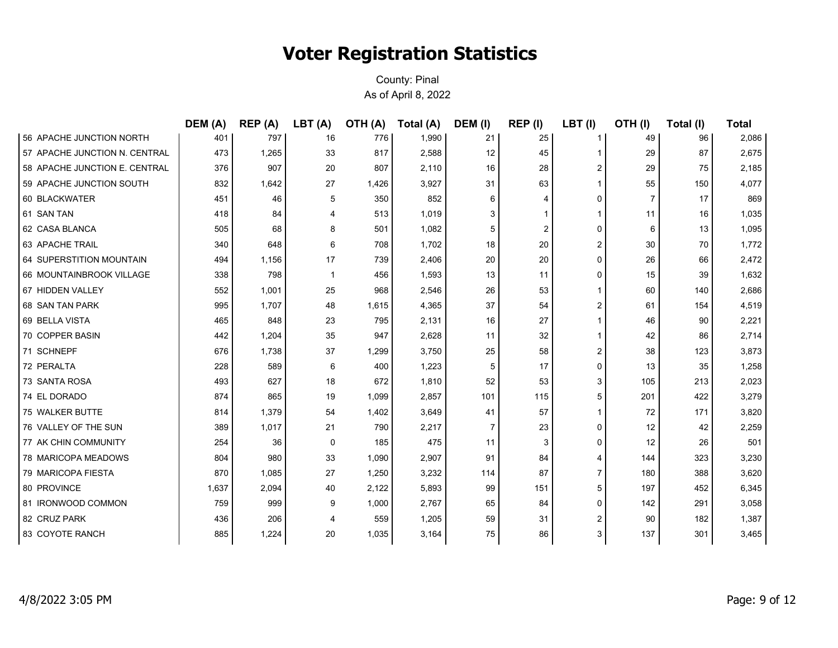|                               | DEM (A) | REP(A) | LBT(A)       | <b>OTH (A)</b> | Total (A) | DEM (I) | REP (I)        | $LBT$ (I) | OTH(I)         | Total (I) | <b>Total</b> |
|-------------------------------|---------|--------|--------------|----------------|-----------|---------|----------------|-----------|----------------|-----------|--------------|
| 56 APACHE JUNCTION NORTH      | 401     | 797    | 16           | 776            | 1,990     | 21      | 25             | 1         | 49             | 96        | 2,086        |
| 57 APACHE JUNCTION N. CENTRAL | 473     | 1,265  | 33           | 817            | 2,588     | 12      | 45             | 1         | 29             | 87        | 2,675        |
| 58 APACHE JUNCTION E. CENTRAL | 376     | 907    | 20           | 807            | 2,110     | 16      | 28             | 2         | 29             | 75        | 2,185        |
| 59 APACHE JUNCTION SOUTH      | 832     | 1,642  | 27           | 1,426          | 3,927     | 31      | 63             | 1         | 55             | 150       | 4,077        |
| 60 BLACKWATER                 | 451     | 46     | 5            | 350            | 852       | 6       | $\overline{4}$ | 0         | $\overline{7}$ | 17        | 869          |
| 61 SAN TAN                    | 418     | 84     | 4            | 513            | 1,019     | 3       |                | 1         | 11             | 16        | 1,035        |
| 62 CASA BLANCA                | 505     | 68     | 8            | 501            | 1,082     | 5       | 2              | 0         | 6              | 13        | 1,095        |
| 63 APACHE TRAIL               | 340     | 648    | 6            | 708            | 1,702     | 18      | 20             | 2         | 30             | 70        | 1,772        |
| 64 SUPERSTITION MOUNTAIN      | 494     | 1,156  | 17           | 739            | 2,406     | 20      | 20             | 0         | 26             | 66        | 2,472        |
| 66 MOUNTAINBROOK VILLAGE      | 338     | 798    | $\mathbf{1}$ | 456            | 1,593     | 13      | 11             | 0         | 15             | 39        | 1,632        |
| 67 HIDDEN VALLEY              | 552     | 1,001  | 25           | 968            | 2,546     | 26      | 53             | 1         | 60             | 140       | 2,686        |
| 68 SAN TAN PARK               | 995     | 1,707  | 48           | 1,615          | 4,365     | 37      | 54             | 2         | 61             | 154       | 4,519        |
| 69 BELLA VISTA                | 465     | 848    | 23           | 795            | 2,131     | 16      | 27             | 1         | 46             | 90        | 2,221        |
| 70 COPPER BASIN               | 442     | 1,204  | 35           | 947            | 2,628     | 11      | 32             | 1         | 42             | 86        | 2,714        |
| 71 SCHNEPF                    | 676     | 1,738  | 37           | 1,299          | 3,750     | 25      | 58             | 2         | 38             | 123       | 3,873        |
| 72 PERALTA                    | 228     | 589    | 6            | 400            | 1,223     | 5       | 17             | 0         | 13             | 35        | 1,258        |
| 73 SANTA ROSA                 | 493     | 627    | 18           | 672            | 1,810     | 52      | 53             | 3         | 105            | 213       | 2,023        |
| 74 EL DORADO                  | 874     | 865    | 19           | 1,099          | 2,857     | 101     | 115            | 5         | 201            | 422       | 3,279        |
| 75 WALKER BUTTE               | 814     | 1,379  | 54           | 1,402          | 3,649     | 41      | 57             | 1         | 72             | 171       | 3,820        |
| 76 VALLEY OF THE SUN          | 389     | 1,017  | 21           | 790            | 2,217     | 7       | 23             | 0         | 12             | 42        | 2,259        |
| 77 AK CHIN COMMUNITY          | 254     | 36     | $\mathbf 0$  | 185            | 475       | 11      | 3              | 0         | 12             | 26        | 501          |
| 78 MARICOPA MEADOWS           | 804     | 980    | 33           | 1,090          | 2,907     | 91      | 84             | 4         | 144            | 323       | 3,230        |
| 79 MARICOPA FIESTA            | 870     | 1,085  | 27           | 1,250          | 3,232     | 114     | 87             | 7         | 180            | 388       | 3,620        |
| 80 PROVINCE                   | 1,637   | 2,094  | 40           | 2,122          | 5,893     | 99      | 151            | 5         | 197            | 452       | 6,345        |
| 81 IRONWOOD COMMON            | 759     | 999    | 9            | 1,000          | 2,767     | 65      | 84             | 0         | 142            | 291       | 3,058        |
| 82 CRUZ PARK                  | 436     | 206    | 4            | 559            | 1,205     | 59      | 31             | 2         | 90             | 182       | 1,387        |
| 83 COYOTE RANCH               | 885     | 1,224  | 20           | 1,035          | 3,164     | 75      | 86             | 3         | 137            | 301       | 3,465        |
|                               |         |        |              |                |           |         |                |           |                |           |              |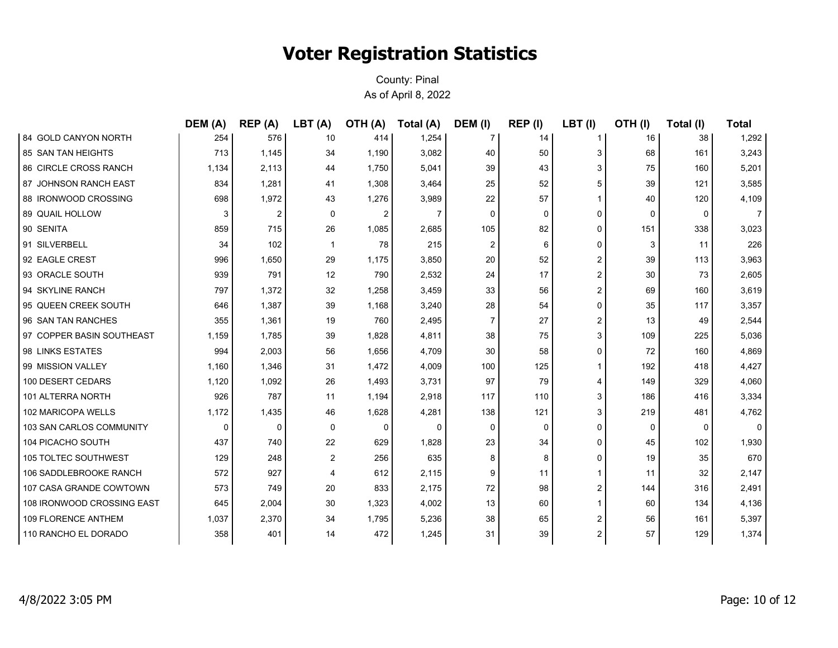|                             | DEM (A) | REP(A) | LBT(A) | <b>OTH (A)</b> | Total (A) | DEM (I)        | REP (I) | LBT(I)                  | OTH(I) | Total (I) | <b>Total</b>   |
|-----------------------------|---------|--------|--------|----------------|-----------|----------------|---------|-------------------------|--------|-----------|----------------|
| 84 GOLD CANYON NORTH        | 254     | 576    | 10     | 414            | 1,254     | $\mathbf{7}$   | 14      | 1                       | 16     | 38        | 1,292          |
| <b>85 SAN TAN HEIGHTS</b>   | 713     | 1,145  | 34     | 1,190          | 3,082     | 40             | 50      | 3                       | 68     | 161       | 3,243          |
| 86 CIRCLE CROSS RANCH       | 1,134   | 2,113  | 44     | 1,750          | 5,041     | 39             | 43      | 3                       | 75     | 160       | 5,201          |
| 87 JOHNSON RANCH EAST       | 834     | 1,281  | 41     | 1,308          | 3,464     | 25             | 52      | 5                       | 39     | 121       | 3,585          |
| 88 IRONWOOD CROSSING        | 698     | 1,972  | 43     | 1,276          | 3,989     | 22             | 57      | $\mathbf 1$             | 40     | 120       | 4,109          |
| <b>89 QUAIL HOLLOW</b>      | 3       | 2      | 0      | 2              | 7         | $\mathbf 0$    | 0       | 0                       | 0      | 0         | $\overline{7}$ |
| 90 SENITA                   | 859     | 715    | 26     | 1,085          | 2,685     | 105            | 82      | 0                       | 151    | 338       | 3,023          |
| 91 SILVERBELL               | 34      | 102    | -1     | 78             | 215       | 2              | 6       | 0                       | 3      | 11        | 226            |
| 92 EAGLE CREST              | 996     | 1,650  | 29     | 1,175          | 3,850     | 20             | 52      | $\overline{\mathbf{c}}$ | 39     | 113       | 3,963          |
| 93 ORACLE SOUTH             | 939     | 791    | 12     | 790            | 2,532     | 24             | 17      | 2                       | 30     | 73        | 2,605          |
| 94 SKYLINE RANCH            | 797     | 1,372  | 32     | 1,258          | 3,459     | 33             | 56      | 2                       | 69     | 160       | 3,619          |
| 95 QUEEN CREEK SOUTH        | 646     | 1,387  | 39     | 1,168          | 3,240     | 28             | 54      | 0                       | 35     | 117       | 3,357          |
| 96 SAN TAN RANCHES          | 355     | 1,361  | 19     | 760            | 2,495     | $\overline{7}$ | 27      | 2                       | 13     | 49        | 2,544          |
| 97 COPPER BASIN SOUTHEAST   | 1,159   | 1,785  | 39     | 1,828          | 4,811     | 38             | 75      | 3                       | 109    | 225       | 5,036          |
| 98 LINKS ESTATES            | 994     | 2,003  | 56     | 1,656          | 4,709     | 30             | 58      | 0                       | 72     | 160       | 4,869          |
| 99 MISSION VALLEY           | 1,160   | 1,346  | 31     | 1,472          | 4,009     | 100            | 125     |                         | 192    | 418       | 4,427          |
| 100 DESERT CEDARS           | 1,120   | 1,092  | 26     | 1,493          | 3,731     | 97             | 79      | 4                       | 149    | 329       | 4,060          |
| 101 ALTERRA NORTH           | 926     | 787    | 11     | 1,194          | 2,918     | 117            | 110     | 3                       | 186    | 416       | 3,334          |
| 102 MARICOPA WELLS          | 1,172   | 1,435  | 46     | 1,628          | 4,281     | 138            | 121     | 3                       | 219    | 481       | 4,762          |
| 103 SAN CARLOS COMMUNITY    | 0       | 0      | 0      | 0              | 0         | 0              | 0       | 0                       | 0      | $\Omega$  | 0              |
| 104 PICACHO SOUTH           | 437     | 740    | 22     | 629            | 1,828     | 23             | 34      | 0                       | 45     | 102       | 1,930          |
| <b>105 TOLTEC SOUTHWEST</b> | 129     | 248    | 2      | 256            | 635       | 8              | 8       | 0                       | 19     | 35        | 670            |
| 106 SADDLEBROOKE RANCH      | 572     | 927    | 4      | 612            | 2,115     | 9              | 11      | 1                       | 11     | 32        | 2,147          |
| 107 CASA GRANDE COWTOWN     | 573     | 749    | 20     | 833            | 2,175     | 72             | 98      | 2                       | 144    | 316       | 2,491          |
| 108 IRONWOOD CROSSING EAST  | 645     | 2,004  | 30     | 1,323          | 4,002     | 13             | 60      | 1                       | 60     | 134       | 4,136          |
| 109 FLORENCE ANTHEM         | 1,037   | 2,370  | 34     | 1,795          | 5,236     | 38             | 65      | 2                       | 56     | 161       | 5,397          |
| 110 RANCHO EL DORADO        | 358     | 401    | 14     | 472            | 1,245     | 31             | 39      | 2                       | 57     | 129       | 1,374          |
|                             |         |        |        |                |           |                |         |                         |        |           |                |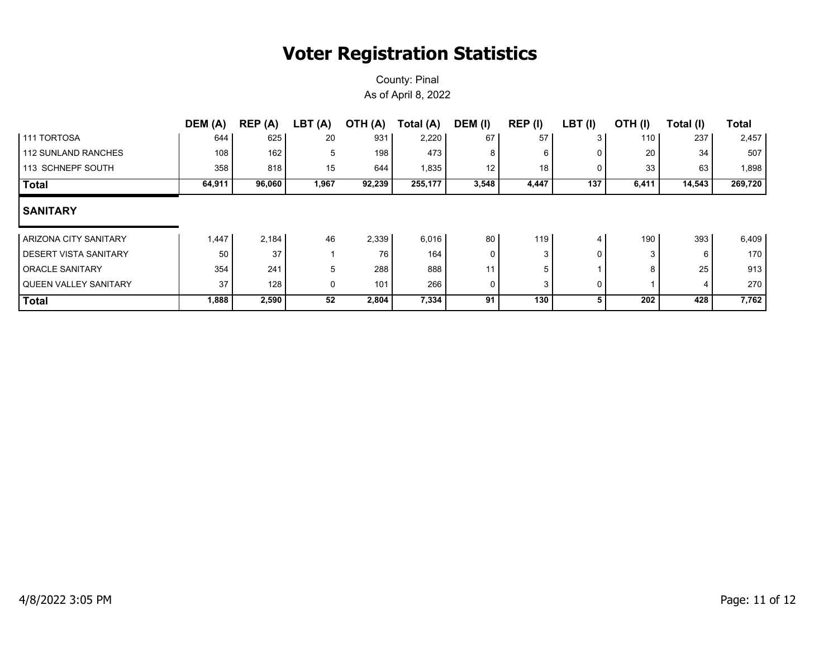|                              | DEM (A) | REP (A) | LBT(A) | OTH (A) | Total (A) | DEM (I) | REP (I) | LBT(I) | OTH (I) | Total (I) | <b>Total</b> |
|------------------------------|---------|---------|--------|---------|-----------|---------|---------|--------|---------|-----------|--------------|
| <b>111 TORTOSA</b>           | 644     | 625     | 20     | 931     | 2,220     | 67      | 57      | 3      | 110 l   | 237       | 2,457        |
| <b>112 SUNLAND RANCHES</b>   | 108     | 162     | 5      | 198     | 473       | 8       | 6       | 0      | 20      | 34        | 507          |
| 113 SCHNEPF SOUTH            | 358     | 818     | 15     | 644     | 1,835     | 12      | 18      | 0      | 33      | 63        | 1,898        |
| <b>Total</b>                 | 64,911  | 96,060  | 1,967  | 92,239  | 255,177   | 3,548   | 4,447   | 137    | 6,411   | 14,543    | 269,720      |
| <b>SANITARY</b>              |         |         |        |         |           |         |         |        |         |           |              |
| ARIZONA CITY SANITARY        | 1,447   | 2,184   | 46     | 2,339   | 6,016     | 80      | 119     | 4      | 190     | 393       | 6,409        |
| DESERT VISTA SANITARY        | 50      | 37      |        | 76      | 164       |         | 3       | 0      |         | 6         | 170          |
| <b>ORACLE SANITARY</b>       | 354     | 241     | 5      | 288     | 888       | 11      | 5       |        | 8       | 25        | 913          |
| <b>QUEEN VALLEY SANITARY</b> | 37      | 128     | 0      | 101     | 266       | 0       | 3       | 0      |         |           | 270          |
| <b>Total</b>                 | 1,888   | 2,590   | 52     | 2,804   | 7,334     | 91      | 130     | 5      | 202     | 428       | 7,762        |